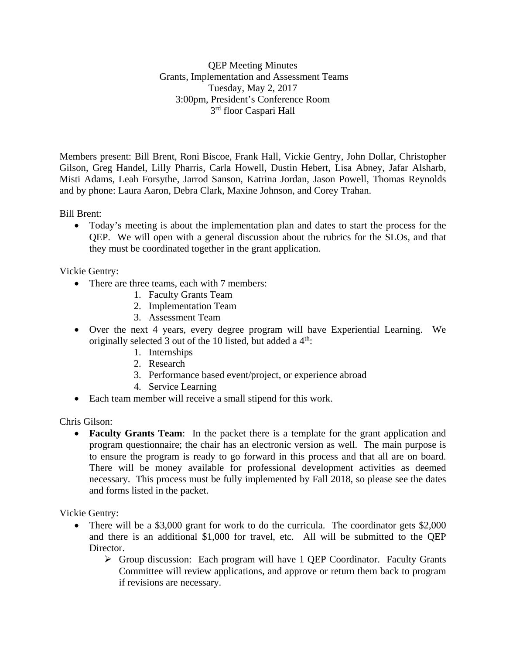QEP Meeting Minutes Grants, Implementation and Assessment Teams Tuesday, May 2, 2017 3:00pm, President's Conference Room 3rd floor Caspari Hall

Members present: Bill Brent, Roni Biscoe, Frank Hall, Vickie Gentry, John Dollar, Christopher Gilson, Greg Handel, Lilly Pharris, Carla Howell, Dustin Hebert, Lisa Abney, Jafar Alsharb, Misti Adams, Leah Forsythe, Jarrod Sanson, Katrina Jordan, Jason Powell, Thomas Reynolds and by phone: Laura Aaron, Debra Clark, Maxine Johnson, and Corey Trahan.

Bill Brent:

• Today's meeting is about the implementation plan and dates to start the process for the QEP. We will open with a general discussion about the rubrics for the SLOs, and that they must be coordinated together in the grant application.

Vickie Gentry:

- There are three teams, each with 7 members:
	- 1. Faculty Grants Team
	- 2. Implementation Team
	- 3. Assessment Team
- Over the next 4 years, every degree program will have Experiential Learning. We originally selected 3 out of the 10 listed, but added a  $4<sup>th</sup>$ :
	- 1. Internships
	- 2. Research
	- 3. Performance based event/project, or experience abroad
	- 4. Service Learning
- Each team member will receive a small stipend for this work.

Chris Gilson:

• **Faculty Grants Team**: In the packet there is a template for the grant application and program questionnaire; the chair has an electronic version as well. The main purpose is to ensure the program is ready to go forward in this process and that all are on board. There will be money available for professional development activities as deemed necessary. This process must be fully implemented by Fall 2018, so please see the dates and forms listed in the packet.

Vickie Gentry:

- There will be a \$3,000 grant for work to do the curricula. The coordinator gets \$2,000 and there is an additional \$1,000 for travel, etc. All will be submitted to the QEP Director.
	- Group discussion: Each program will have 1 QEP Coordinator. Faculty Grants Committee will review applications, and approve or return them back to program if revisions are necessary.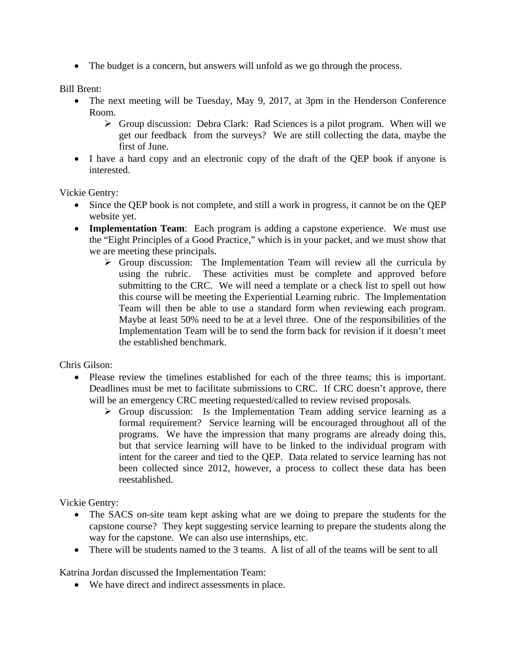• The budget is a concern, but answers will unfold as we go through the process.

Bill Brent:

- The next meeting will be Tuesday, May 9, 2017, at 3pm in the Henderson Conference Room.
	- $\triangleright$  Group discussion: Debra Clark: Rad Sciences is a pilot program. When will we get our feedback from the surveys? We are still collecting the data, maybe the first of June.
- I have a hard copy and an electronic copy of the draft of the QEP book if anyone is interested.

Vickie Gentry:

- Since the QEP book is not complete, and still a work in progress, it cannot be on the QEP website yet.
- **Implementation Team**: Each program is adding a capstone experience. We must use the "Eight Principles of a Good Practice," which is in your packet, and we must show that we are meeting these principals.
	- $\triangleright$  Group discussion: The Implementation Team will review all the curricula by using the rubric. These activities must be complete and approved before submitting to the CRC. We will need a template or a check list to spell out how this course will be meeting the Experiential Learning rubric. The Implementation Team will then be able to use a standard form when reviewing each program. Maybe at least 50% need to be at a level three. One of the responsibilities of the Implementation Team will be to send the form back for revision if it doesn't meet the established benchmark.

Chris Gilson:

- Please review the timelines established for each of the three teams; this is important. Deadlines must be met to facilitate submissions to CRC. If CRC doesn't approve, there will be an emergency CRC meeting requested/called to review revised proposals.
	- $\triangleright$  Group discussion: Is the Implementation Team adding service learning as a formal requirement? Service learning will be encouraged throughout all of the programs. We have the impression that many programs are already doing this, but that service learning will have to be linked to the individual program with intent for the career and tied to the QEP. Data related to service learning has not been collected since 2012, however, a process to collect these data has been reestablished.

Vickie Gentry:

- The SACS on-site team kept asking what are we doing to prepare the students for the capstone course? They kept suggesting service learning to prepare the students along the way for the capstone. We can also use internships, etc.
- There will be students named to the 3 teams. A list of all of the teams will be sent to all

Katrina Jordan discussed the Implementation Team:

• We have direct and indirect assessments in place.